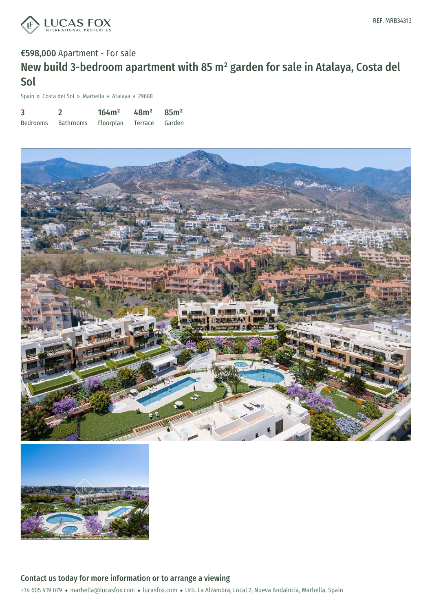

### €598,000 Apartment - For sale

# New build 3-bedroom apartment with 85 m² garden for sale in Atalaya, Costa del Sol

Spain » Costa del Sol » Marbella » Atalaya » 29688

| 3               |                  | 164m <sup>2</sup> | 48m <sup>2</sup> | 85m <sup>2</sup> |
|-----------------|------------------|-------------------|------------------|------------------|
| <b>Bedrooms</b> | <b>Bathrooms</b> | <b>Floorplan</b>  | Terrace          | Garden           |





Contact us today for more information or to arrange a viewing

+34 605 419 079 · marbella@lucasfox.com · lucasfox.com · Urb. La Alzambra, Local 2, Nueva Andalucia, Marbella, Spain